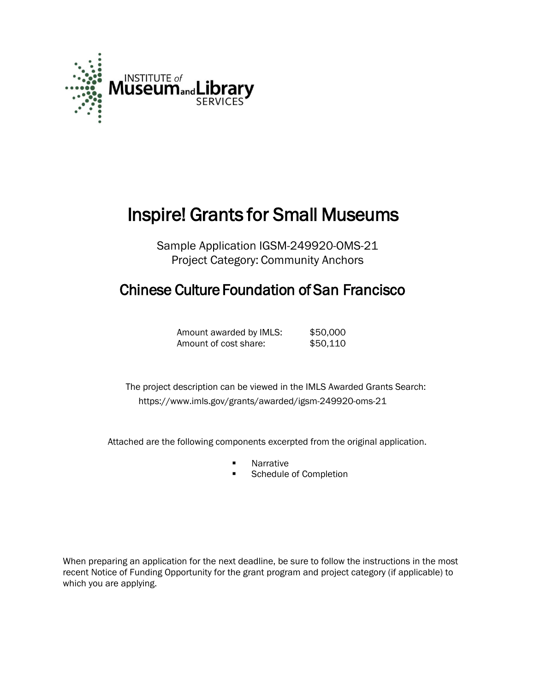

# Inspire! Grants for Small Museums

Sample Application IGSM-249920-OMS-21 Project Category: Community Anchors

# Chinese Culture Foundation of San Francisco

Amount awarded by IMLS: \$50,000 Amount of cost share: \$50,110

The project description can be viewed in the IMLS Awarded Grants Search: <https://www.imls.gov/grants/awarded/igsm-249920-oms-21>

Attached are the following components excerpted from the original application.

- **Narrative**
- Schedule of Completion

When preparing an application for the next deadline, be sure to follow the instructions in the most recent Notice of Funding Opportunity for the grant program and project category (if applicable) to which you are applying.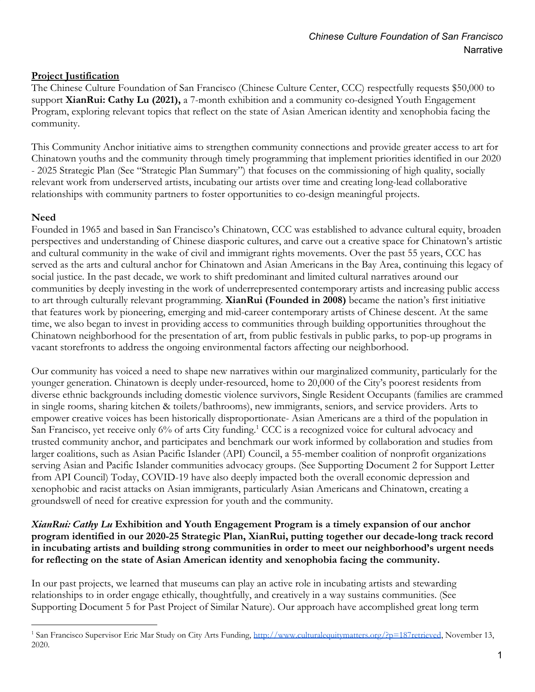#### **Project Justification**

The Chinese Culture Foundation of San Francisco (Chinese Culture Center, CCC) respectfully requests \$50,000 to support **XianRui: Cathy Lu (2021),** a 7-month exhibition and a community co-designed Youth Engagement Program, exploring relevant topics that reflect on the state of Asian American identity and xenophobia facing the community.

This Community Anchor initiative aims to strengthen community connections and provide greater access to art for Chinatown youths and the community through timely programming that implement priorities identified in our 2020 - 2025 Strategic Plan (See "Strategic Plan Summary") that focuses on the commissioning of high quality, socially relevant work from underserved artists, incubating our artists over time and creating long-lead collaborative relationships with community partners to foster opportunities to co-design meaningful projects.

#### **Need**

Founded in 1965 and based in San Francisco's Chinatown, CCC was established to advance cultural equity, broaden perspectives and understanding of Chinese diasporic cultures, and carve out a creative space for Chinatown's artistic and cultural community in the wake of civil and immigrant rights movements. Over the past 55 years, CCC has served as the arts and cultural anchor for Chinatown and Asian Americans in the Bay Area, continuing this legacy of social justice. In the past decade, we work to shift predominant and limited cultural narratives around our communities by deeply investing in the work of underrepresented contemporary artists and increasing public access to art through culturally relevant programming. **XianRui (Founded in 2008)** became the nation's first initiative that features work by pioneering, emerging and mid-career contemporary artists of Chinese descent. At the same time, we also began to invest in providing access to communities through building opportunities throughout the Chinatown neighborhood for the presentation of art, from public festivals in public parks, to pop-up programs in vacant storefronts to address the ongoing environmental factors affecting our neighborhood.

Our community has voiced a need to shape new narratives within our marginalized community, particularly for the younger generation. Chinatown is deeply under-resourced, home to 20,000 of the City's poorest residents from diverse ethnic backgrounds including domestic violence survivors, Single Resident Occupants (families are crammed in single rooms, sharing kitchen & toilets/bathrooms), new immigrants, seniors, and service providers. Arts to empower creative voices has been historically disproportionate- Asian Americans are a third of the population in San Francisco, yet receive only 6% of arts City funding.<sup>1</sup> CCC is a recognized voice for cultural advocacy and trusted community anchor, and participates and benchmark our work informed by collaboration and studies from larger coalitions, such as Asian Pacific Islander (API) Council, a 55-member coalition of nonprofit organizations serving Asian and Pacific Islander communities advocacy groups. (See Supporting Document 2 for Support Letter from API Council) Today, COVID-19 have also deeply impacted both the overall economic depression and xenophobic and racist attacks on Asian immigrants, particularly Asian Americans and Chinatown, creating a groundswell of need for creative expression for youth and the community.

#### *XianRui: Cathy Lu* **Exhibition and Youth Engagement Program is a timely expansion of our anchor program identified in our 2020-25 Strategic Plan, XianRui, putting together our decade-long track record in incubating artists and building strong communities in order to meet our neighborhood's urgent needs for reflecting on the state of Asian American identity and xenophobia facing the community.**

In our past projects, we learned that museums can play an active role in incubating artists and stewarding relationships to in order engage ethically, thoughtfully, and creatively in a way sustains communities. (See Supporting Document 5 for Past Project of Similar Nature). Our approach have accomplished great long term

<sup>&</sup>lt;sup>1</sup> San Francisco Supervisor Eric Mar Study on City Arts Funding, <http://www.culturalequitymatters.org/?p=187retrieved>, November 13, 2020.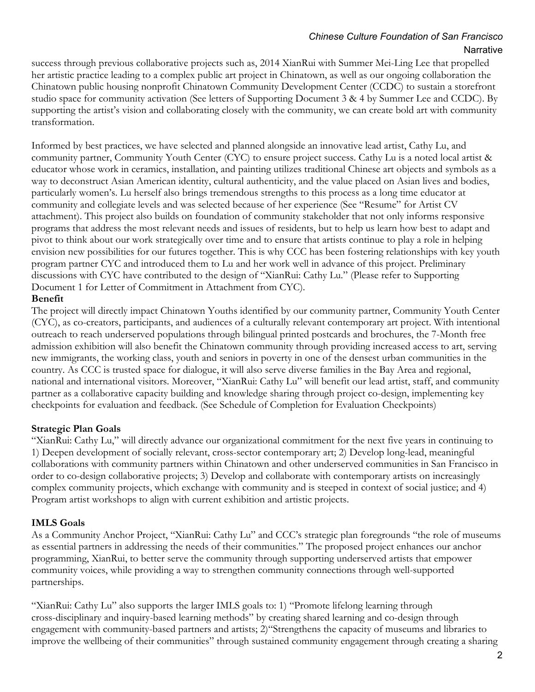success through previous collaborative projects such as, 2014 XianRui with Summer Mei-Ling Lee that propelled her artistic practice leading to a complex public art project in Chinatown, as well as our ongoing collaboration the Chinatown public housing nonprofit Chinatown Community Development Center (CCDC) to sustain a storefront studio space for community activation (See letters of Supporting Document 3 & 4 by Summer Lee and CCDC). By supporting the artist's vision and collaborating closely with the community, we can create bold art with community transformation.

Informed by best practices, we have selected and planned alongside an innovative lead artist, Cathy Lu, and community partner, Community Youth Center (CYC) to ensure project success. Cathy Lu is a noted local artist & educator whose work in ceramics, installation, and painting utilizes traditional Chinese art objects and symbols as a way to deconstruct Asian American identity, cultural authenticity, and the value placed on Asian lives and bodies, particularly women's. Lu herself also brings tremendous strengths to this process as a long time educator at community and collegiate levels and was selected because of her experience (See "Resume" for Artist CV attachment). This project also builds on foundation of community stakeholder that not only informs responsive programs that address the most relevant needs and issues of residents, but to help us learn how best to adapt and pivot to think about our work strategically over time and to ensure that artists continue to play a role in helping envision new possibilities for our futures together. This is why CCC has been fostering relationships with key youth program partner CYC and introduced them to Lu and her work well in advance of this project. Preliminary discussions with CYC have contributed to the design of "XianRui: Cathy Lu." (Please refer to Supporting Document 1 for Letter of Commitment in Attachment from CYC).

#### **Benefit**

The project will directly impact Chinatown Youths identified by our community partner, Community Youth Center (CYC), as co-creators, participants, and audiences of a culturally relevant contemporary art project. With intentional outreach to reach underserved populations through bilingual printed postcards and brochures, the 7-Month free admission exhibition will also benefit the Chinatown community through providing increased access to art, serving new immigrants, the working class, youth and seniors in poverty in one of the densest urban communities in the country. As CCC is trusted space for dialogue, it will also serve diverse families in the Bay Area and regional, national and international visitors. Moreover, "XianRui: Cathy Lu" will benefit our lead artist, staff, and community partner as a collaborative capacity building and knowledge sharing through project co-design, implementing key checkpoints for evaluation and feedback. (See Schedule of Completion for Evaluation Checkpoints)

### **Strategic Plan Goals**

"XianRui: Cathy Lu," will directly advance our organizational commitment for the next five years in continuing to 1) Deepen development of socially relevant, cross-sector contemporary art; 2) Develop long-lead, meaningful collaborations with community partners within Chinatown and other underserved communities in San Francisco in order to co-design collaborative projects; 3) Develop and collaborate with contemporary artists on increasingly complex community projects, which exchange with community and is steeped in context of social justice; and 4) Program artist workshops to align with current exhibition and artistic projects.

#### **IMLS Goals**

As a Community Anchor Project, "XianRui: Cathy Lu" and CCC's strategic plan foregrounds "the role of museums as essential partners in addressing the needs of their communities." The proposed project enhances our anchor programming, XianRui, to better serve the community through supporting underserved artists that empower community voices, while providing a way to strengthen community connections through well-supported partnerships.

"XianRui: Cathy Lu" also supports the larger IMLS goals to: 1) "Promote lifelong learning through cross-disciplinary and inquiry-based learning methods" by creating shared learning and co-design through engagement with community-based partners and artists; 2)"Strengthens the capacity of museums and libraries to improve the wellbeing of their communities" through sustained community engagement through creating a sharing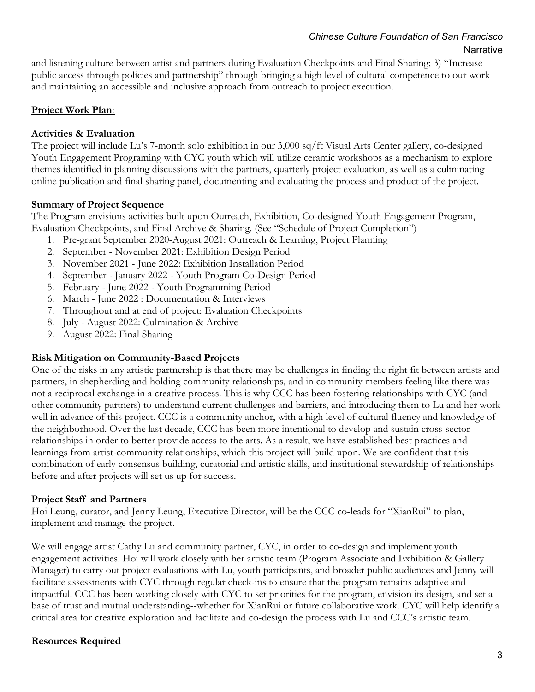and listening culture between artist and partners during Evaluation Checkpoints and Final Sharing; 3) "Increase public access through policies and partnership" through bringing a high level of cultural competence to our work and maintaining an accessible and inclusive approach from outreach to project execution.

#### **Project Work Plan**:

#### **Activities & Evaluation**

The project will include Lu's 7-month solo exhibition in our 3,000 sq/ft Visual Arts Center gallery, co-designed Youth Engagement Programing with CYC youth which will utilize ceramic workshops as a mechanism to explore themes identified in planning discussions with the partners, quarterly project evaluation, as well as a culminating online publication and final sharing panel, documenting and evaluating the process and product of the project.

#### **Summary of Project Sequence**

The Program envisions activities built upon Outreach, Exhibition, Co-designed Youth Engagement Program, Evaluation Checkpoints, and Final Archive & Sharing. (See "Schedule of Project Completion")

- 1. Pre-grant September 2020-August 2021: Outreach & Learning, Project Planning
- 2. September November 2021: Exhibition Design Period
- 3. November 2021 June 2022: Exhibition Installation Period
- 4. September January 2022 Youth Program Co-Design Period
- 5. February June 2022 Youth Programming Period
- 6. March June 2022 : Documentation & Interviews
- 7. Throughout and at end of project: Evaluation Checkpoints
- 8. July August 2022: Culmination & Archive
- 9. August 2022: Final Sharing

#### **Risk Mitigation on Community-Based Projects**

One of the risks in any artistic partnership is that there may be challenges in finding the right fit between artists and partners, in shepherding and holding community relationships, and in community members feeling like there was not a reciprocal exchange in a creative process. This is why CCC has been fostering relationships with CYC (and other community partners) to understand current challenges and barriers, and introducing them to Lu and her work well in advance of this project. CCC is a community anchor, with a high level of cultural fluency and knowledge of the neighborhood. Over the last decade, CCC has been more intentional to develop and sustain cross-sector relationships in order to better provide access to the arts. As a result, we have established best practices and learnings from artist-community relationships, which this project will build upon. We are confident that this combination of early consensus building, curatorial and artistic skills, and institutional stewardship of relationships before and after projects will set us up for success.

#### **Project Staff and Partners**

Hoi Leung, curator, and Jenny Leung, Executive Director, will be the CCC co-leads for "XianRui" to plan, implement and manage the project.

We will engage artist Cathy Lu and community partner, CYC, in order to co-design and implement youth engagement activities. Hoi will work closely with her artistic team (Program Associate and Exhibition & Gallery Manager) to carry out project evaluations with Lu, youth participants, and broader public audiences and Jenny will facilitate assessments with CYC through regular check-ins to ensure that the program remains adaptive and impactful. CCC has been working closely with CYC to set priorities for the program, envision its design, and set a base of trust and mutual understanding--whether for XianRui or future collaborative work. CYC will help identify a critical area for creative exploration and facilitate and co-design the process with Lu and CCC's artistic team.

#### **Resources Required**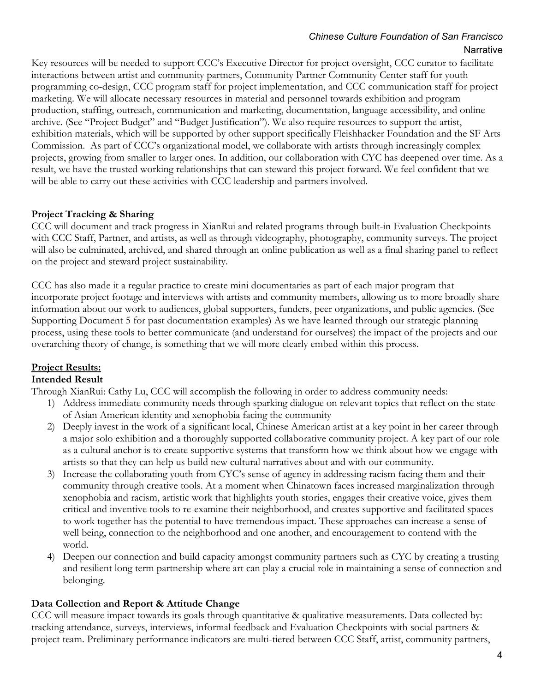Key resources will be needed to support CCC's Executive Director for project oversight, CCC curator to facilitate interactions between artist and community partners, Community Partner Community Center staff for youth programming co-design, CCC program staff for project implementation, and CCC communication staff for project marketing. We will allocate necessary resources in material and personnel towards exhibition and program production, staffing, outreach, communication and marketing, documentation, language accessibility, and online archive. (See "Project Budget" and "Budget Justification"). We also require resources to support the artist, exhibition materials, which will be supported by other support specifically Fleishhacker Foundation and the SF Arts Commission. As part of CCC's organizational model, we collaborate with artists through increasingly complex projects, growing from smaller to larger ones. In addition, our collaboration with CYC has deepened over time. As a result, we have the trusted working relationships that can steward this project forward. We feel confident that we will be able to carry out these activities with CCC leadership and partners involved.

#### **Project Tracking & Sharing**

CCC will document and track progress in XianRui and related programs through built-in Evaluation Checkpoints with CCC Staff, Partner, and artists, as well as through videography, photography, community surveys. The project will also be culminated, archived, and shared through an online publication as well as a final sharing panel to reflect on the project and steward project sustainability.

CCC has also made it a regular practice to create mini documentaries as part of each major program that incorporate project footage and interviews with artists and community members, allowing us to more broadly share information about our work to audiences, global supporters, funders, peer organizations, and public agencies. (See Supporting Document 5 for past documentation examples) As we have learned through our strategic planning process, using these tools to better communicate (and understand for ourselves) the impact of the projects and our overarching theory of change, is something that we will more clearly embed within this process.

## **Project Results:**

#### **Intended Result**

Through XianRui: Cathy Lu, CCC will accomplish the following in order to address community needs:

- 1) Address immediate community needs through sparking dialogue on relevant topics that reflect on the state of Asian American identity and xenophobia facing the community
- 2) Deeply invest in the work of a significant local, Chinese American artist at a key point in her career through a major solo exhibition and a thoroughly supported collaborative community project. A key part of our role as a cultural anchor is to create supportive systems that transform how we think about how we engage with artists so that they can help us build new cultural narratives about and with our community.
- 3) Increase the collaborating youth from CYC's sense of agency in addressing racism facing them and their community through creative tools. At a moment when Chinatown faces increased marginalization through xenophobia and racism, artistic work that highlights youth stories, engages their creative voice, gives them critical and inventive tools to re-examine their neighborhood, and creates supportive and facilitated spaces to work together has the potential to have tremendous impact. These approaches can increase a sense of well being, connection to the neighborhood and one another, and encouragement to contend with the world.
- 4) Deepen our connection and build capacity amongst community partners such as CYC by creating a trusting and resilient long term partnership where art can play a crucial role in maintaining a sense of connection and belonging.

#### **Data Collection and Report & Attitude Change**

CCC will measure impact towards its goals through quantitative & qualitative measurements. Data collected by: tracking attendance, surveys, interviews, informal feedback and Evaluation Checkpoints with social partners & project team. Preliminary performance indicators are multi-tiered between CCC Staff, artist, community partners,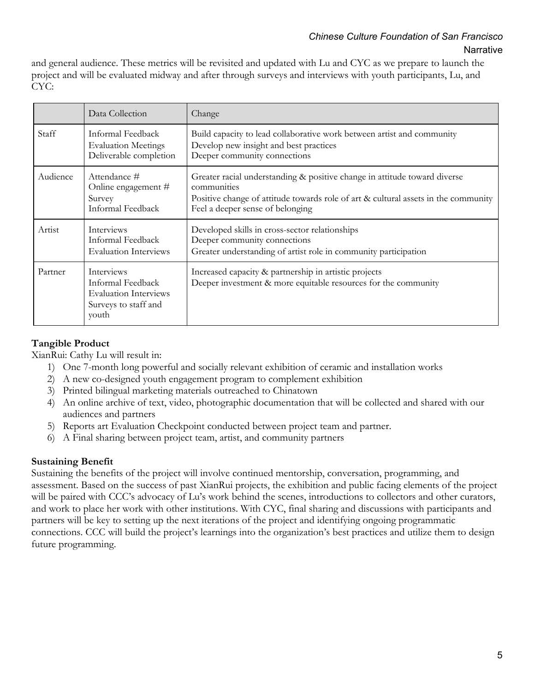and general audience. These metrics will be revisited and updated with Lu and CYC as we prepare to launch the project and will be evaluated midway and after through surveys and interviews with youth participants, Lu, and CYC:

|          | Data Collection                                                                                         | Change                                                                                                                                                                                                             |
|----------|---------------------------------------------------------------------------------------------------------|--------------------------------------------------------------------------------------------------------------------------------------------------------------------------------------------------------------------|
| Staff    | Informal Feedback<br><b>Evaluation Meetings</b><br>Deliverable completion                               | Build capacity to lead collaborative work between artist and community<br>Develop new insight and best practices<br>Deeper community connections                                                                   |
| Audience | Attendance #<br>Online engagement #<br>Survey<br>Informal Feedback                                      | Greater racial understanding & positive change in attitude toward diverse<br>communities<br>Positive change of attitude towards role of art & cultural assets in the community<br>Feel a deeper sense of belonging |
| Artist   | <b>Interviews</b><br>Informal Feedback<br><b>Evaluation Interviews</b>                                  | Developed skills in cross-sector relationships<br>Deeper community connections<br>Greater understanding of artist role in community participation                                                                  |
| Partner  | <b>Interviews</b><br>Informal Feedback<br><b>Evaluation Interviews</b><br>Surveys to staff and<br>youth | Increased capacity & partnership in artistic projects<br>Deeper investment & more equitable resources for the community                                                                                            |

#### **Tangible Product**

XianRui: Cathy Lu will result in:

- 1) One 7-month long powerful and socially relevant exhibition of ceramic and installation works
- 2) A new co-designed youth engagement program to complement exhibition
- 3) Printed bilingual marketing materials outreached to Chinatown
- 4) An online archive of text, video, photographic documentation that will be collected and shared with our audiences and partners
- 5) Reports art Evaluation Checkpoint conducted between project team and partner.
- 6) A Final sharing between project team, artist, and community partners

#### **Sustaining Benefit**

Sustaining the benefits of the project will involve continued mentorship, conversation, programming, and assessment. Based on the success of past XianRui projects, the exhibition and public facing elements of the project will be paired with CCC's advocacy of Lu's work behind the scenes, introductions to collectors and other curators, and work to place her work with other institutions. With CYC, final sharing and discussions with participants and partners will be key to setting up the next iterations of the project and identifying ongoing programmatic connections. CCC will build the project's learnings into the organization's best practices and utilize them to design future programming.